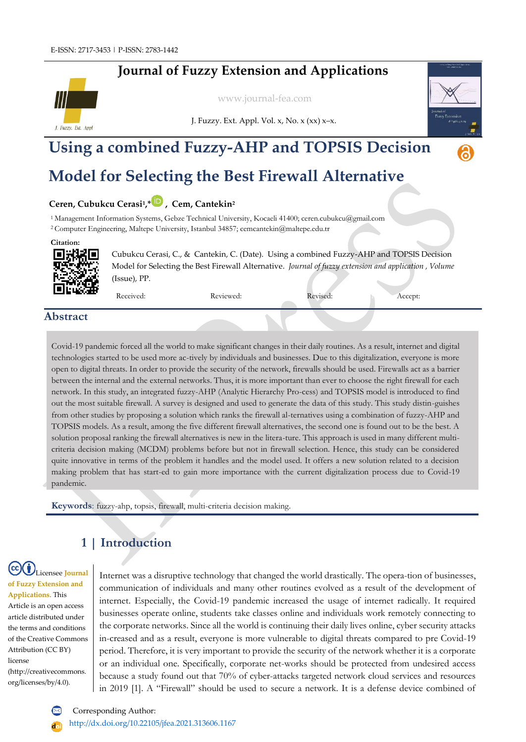# **Journal of Fuzzy Extension and Applications**



[www.journal-fea.com](http://www.journal-fea.com/)



# J. Fuzzy. Ext. Appl. Vol.  $x$ , No.  $x$   $(xx)$   $x-x$ .

# **Using a combined Fuzzy-AHP and TOPSIS Decision**

# **Model for Selecting the Best Firewall Alternative**

### **Ceren, Cubukcu Cerasi<sup>1</sup> ,[\\*](https://orcid.org/0000-0002-9253-2826) , Cem, Cantekin<sup>2</sup>**

<sup>1</sup> Management Information Systems, Gebze Technical University, Kocaeli 41400; ceren.cubukcu@gmail.com

<sup>2</sup>Computer Engineering, Maltepe University, Istanbul 34857; cemcantekin@maltepe.edu.tr





Cubukcu Cerasi, C., & Cantekin, C. (Date). Using a combined Fuzzy-AHP and TOPSIS Decision Model for Selecting the Best Firewall Alternative. *Journal of fuzzy extension and application , Volume* (Issue), PP.

Received: 12/02/2021 Reviewed: 12/03/2021 Reviewed: 12/03/2021 Reviewed: 12/04/2021 Reviewed: 12/05/2021 Accept:

### **Abstract**

Covid-19 pandemic forced all the world to make significant changes in their daily routines. As a result, internet and digital technologies started to be used more ac-tively by individuals and businesses. Due to this digitalization, everyone is more open to digital threats. In order to provide the security of the network, firewalls should be used. Firewalls act as a barrier between the internal and the external networks. Thus, it is more important than ever to choose the right firewall for each network. In this study, an integrated fuzzy-AHP (Analytic Hierarchy Pro-cess) and TOPSIS model is introduced to find out the most suitable firewall. A survey is designed and used to generate the data of this study. This study distin-guishes from other studies by proposing a solution which ranks the firewall al-ternatives using a combination of fuzzy-AHP and TOPSIS models. As a result, among the five different firewall alternatives, the second one is found out to be the best. A solution proposal ranking the firewall alternatives is new in the litera-ture. This approach is used in many different multicriteria decision making (MCDM) problems before but not in firewall selection. Hence, this study can be considered quite innovative in terms of the problem it handles and the model used. It offers a new solution related to a decision making problem that has start-ed to gain more importance with the current digitalization process due to Covid-19 pandemic.

**Keywords**: fuzzy-ahp, topsis, firewall, multi-criteria decision making.

# **1 | Introduction**

### Licensee **Journal of Fuzzy Extension and**

**Applications**. This Article is an open access article distributed under the terms and conditions of the Creative Commons Attribution (CC BY) license (http://creativecommons. org/licenses/by/4.0).

Internet was a disruptive technology that changed the world drastically. The opera-tion of businesses, communication of individuals and many other routines evolved as a result of the development of internet. Especially, the Covid-19 pandemic increased the usage of internet radically. It required businesses operate online, students take classes online and individuals work remotely connecting to the corporate networks. Since all the world is continuing their daily lives online, cyber security attacks in-creased and as a result, everyone is more vulnerable to digital threats compared to pre Covid-19 period. Therefore, it is very important to provide the security of the network whether it is a corporate or an individual one. Specifically, corporate net-works should be protected from undesired access because a study found out that 70% of cyber-attacks targeted network cloud services and resources in 2019 [1]. A "Firewall" should be used to secure a network. It is a defense device combined of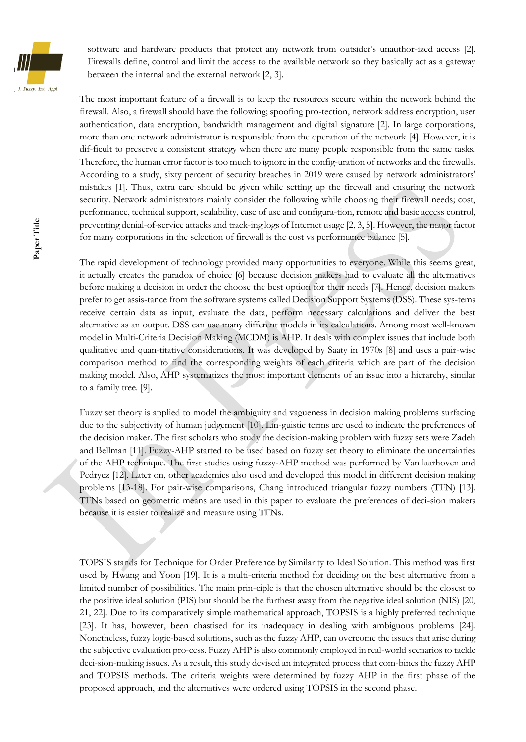

software and hardware products that protect any network from outsider's unauthor-ized access [2]. Firewalls define, control and limit the access to the available network so they basically act as a gateway between the internal and the external network [2, 3].

The most important feature of a firewall is to keep the resources secure within the network behind the firewall. Also, a firewall should have the following; spoofing pro-tection, network address encryption, user authentication, data encryption, bandwidth management and digital signature [2]. In large corporations, more than one network administrator is responsible from the operation of the network [4]. However, it is dif-ficult to preserve a consistent strategy when there are many people responsible from the same tasks. Therefore, the human error factor is too much to ignore in the config-uration of networks and the firewalls. According to a study, sixty percent of security breaches in 2019 were caused by network administrators' mistakes [1]. Thus, extra care should be given while setting up the firewall and ensuring the network security. Network administrators mainly consider the following while choosing their firewall needs; cost, performance, technical support, scalability, ease of use and configura-tion, remote and basic access control, preventing denial-of-service attacks and track-ing logs of Internet usage [2, 3, 5]. However, the major factor for many corporations in the selection of firewall is the cost vs performance balance [5].

The rapid development of technology provided many opportunities to everyone. While this seems great, it actually creates the paradox of choice [6] because decision makers had to evaluate all the alternatives before making a decision in order the choose the best option for their needs [7]. Hence, decision makers prefer to get assis-tance from the software systems called Decision Support Systems (DSS). These sys-tems receive certain data as input, evaluate the data, perform necessary calculations and deliver the best alternative as an output. DSS can use many different models in its calculations. Among most well-known model in Multi-Criteria Decision Making (MCDM) is AHP. It deals with complex issues that include both qualitative and quan-titative considerations. It was developed by Saaty in 1970s [8] and uses a pair-wise comparison method to find the corresponding weights of each criteria which are part of the decision making model. Also, AHP systematizes the most important elements of an issue into a hierarchy, similar to a family tree. [9].

Fuzzy set theory is applied to model the ambiguity and vagueness in decision making problems surfacing due to the subjectivity of human judgement [10]. Lin-guistic terms are used to indicate the preferences of the decision maker. The first scholars who study the decision-making problem with fuzzy sets were Zadeh and Bellman [11]. Fuzzy-AHP started to be used based on fuzzy set theory to eliminate the uncertainties of the AHP technique. The first studies using fuzzy-AHP method was performed by Van laarhoven and Pedrycz [12]. Later on, other academics also used and developed this model in different decision making problems [13-18]. For pair-wise comparisons, Chang introduced triangular fuzzy numbers (TFN) [13]. TFNs based on geometric means are used in this paper to evaluate the preferences of deci-sion makers because it is easier to realize and measure using TFNs.

TOPSIS stands for Technique for Order Preference by Similarity to Ideal Solution. This method was first used by Hwang and Yoon [19]. It is a multi-criteria method for deciding on the best alternative from a limited number of possibilities. The main prin-ciple is that the chosen alternative should be the closest to the positive ideal solution (PIS) but should be the furthest away from the negative ideal solution (NIS) [20, 21, 22]. Due to its comparatively simple mathematical approach, TOPSIS is a highly preferred technique [23]. It has, however, been chastised for its inadequacy in dealing with ambiguous problems [24]. Nonetheless, fuzzy logic-based solutions, such as the fuzzy AHP, can overcome the issues that arise during the subjective evaluation pro-cess. Fuzzy AHP is also commonly employed in real-world scenarios to tackle deci-sion-making issues. As a result, this study devised an integrated process that com-bines the fuzzy AHP and TOPSIS methods. The criteria weights were determined by fuzzy AHP in the first phase of the proposed approach, and the alternatives were ordered using TOPSIS in the second phase.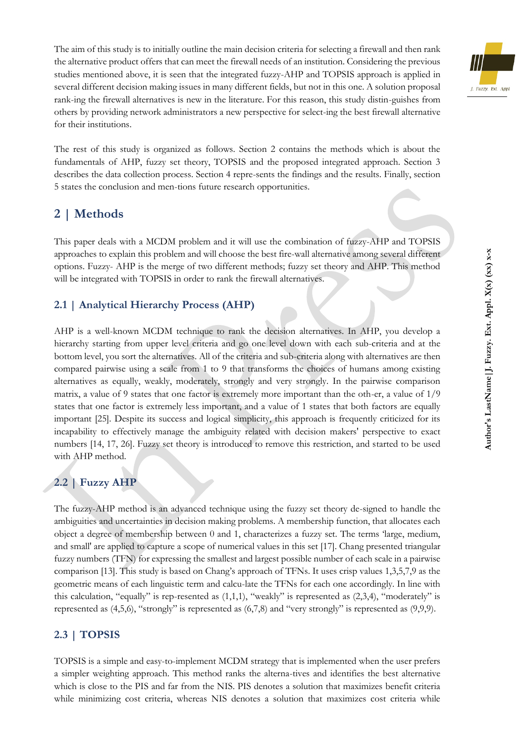The aim of this study is to initially outline the main decision criteria for selecting a firewall and then rank the alternative product offers that can meet the firewall needs of an institution. Considering the previous studies mentioned above, it is seen that the integrated fuzzy-AHP and TOPSIS approach is applied in several different decision making issues in many different fields, but not in this one. A solution proposal rank-ing the firewall alternatives is new in the literature. For this reason, this study distin-guishes from others by providing network administrators a new perspective for select-ing the best firewall alternative for their institutions.



## **2 | Methods**

This paper deals with a MCDM problem and it will use the combination of fuzzy-AHP and TOPSIS approaches to explain this problem and will choose the best fire-wall alternative among several different options. Fuzzy- AHP is the merge of two different methods; fuzzy set theory and AHP. This method will be integrated with TOPSIS in order to rank the firewall alternatives.

#### **2.1 | Analytical Hierarchy Process (AHP)**

AHP is a well-known MCDM technique to rank the decision alternatives. In AHP, you develop a hierarchy starting from upper level criteria and go one level down with each sub-criteria and at the bottom level, you sort the alternatives. All of the criteria and sub-criteria along with alternatives are then compared pairwise using a scale from 1 to 9 that transforms the choices of humans among existing alternatives as equally, weakly, moderately, strongly and very strongly. In the pairwise comparison matrix, a value of 9 states that one factor is extremely more important than the oth-er, a value of 1/9 states that one factor is extremely less important, and a value of 1 states that both factors are equally important [25]. Despite its success and logical simplicity, this approach is frequently criticized for its incapability to effectively manage the ambiguity related with decision makers' perspective to exact numbers [14, 17, 26]. Fuzzy set theory is introduced to remove this restriction, and started to be used with AHP method.

### **2.2 | Fuzzy AHP**

The fuzzy-AHP method is an advanced technique using the fuzzy set theory de-signed to handle the ambiguities and uncertainties in decision making problems. A membership function, that allocates each object a degree of membership between 0 and 1, characterizes a fuzzy set. The terms 'large, medium, and small' are applied to capture a scope of numerical values in this set [17]. Chang presented triangular fuzzy numbers (TFN) for expressing the smallest and largest possible number of each scale in a pairwise comparison [13]. This study is based on Chang's approach of TFNs. It uses crisp values 1,3,5,7,9 as the geometric means of each linguistic term and calcu-late the TFNs for each one accordingly. In line with this calculation, "equally" is rep-resented as  $(1,1,1)$ , "weakly" is represented as  $(2,3,4)$ , "moderately" is represented as (4,5,6), "strongly" is represented as (6,7,8) and "very strongly" is represented as (9,9,9).

#### **2.3 | TOPSIS**

TOPSIS is a simple and easy-to-implement MCDM strategy that is implemented when the user prefers a simpler weighting approach. This method ranks the alterna-tives and identifies the best alternative which is close to the PIS and far from the NIS. PIS denotes a solution that maximizes benefit criteria while minimizing cost criteria, whereas NIS denotes a solution that maximizes cost criteria while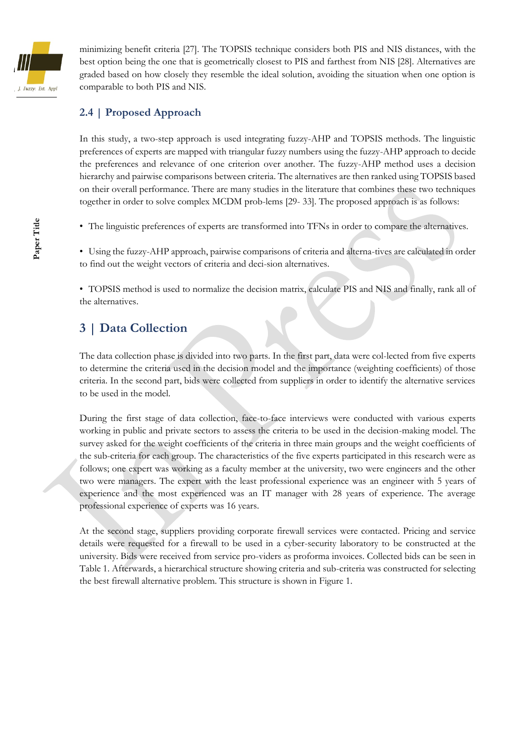

minimizing benefit criteria [27]. The TOPSIS technique considers both PIS and NIS distances, with the best option being the one that is geometrically closest to PIS and farthest from NIS [28]. Alternatives are graded based on how closely they resemble the ideal solution, avoiding the situation when one option is comparable to both PIS and NIS.

### **2.4 | Proposed Approach**

In this study, a two-step approach is used integrating fuzzy-AHP and TOPSIS methods. The linguistic preferences of experts are mapped with triangular fuzzy numbers using the fuzzy-AHP approach to decide the preferences and relevance of one criterion over another. The fuzzy-AHP method uses a decision hierarchy and pairwise comparisons between criteria. The alternatives are then ranked using TOPSIS based on their overall performance. There are many studies in the literature that combines these two techniques together in order to solve complex MCDM prob-lems [29- 33]. The proposed approach is as follows:

• The linguistic preferences of experts are transformed into TFNs in order to compare the alternatives.

• Using the fuzzy-AHP approach, pairwise comparisons of criteria and alterna-tives are calculated in order to find out the weight vectors of criteria and deci-sion alternatives.

• TOPSIS method is used to normalize the decision matrix, calculate PIS and NIS and finally, rank all of the alternatives.

## **3 | Data Collection**

The data collection phase is divided into two parts. In the first part, data were col-lected from five experts to determine the criteria used in the decision model and the importance (weighting coefficients) of those criteria. In the second part, bids were collected from suppliers in order to identify the alternative services to be used in the model.

During the first stage of data collection, face-to-face interviews were conducted with various experts working in public and private sectors to assess the criteria to be used in the decision-making model. The survey asked for the weight coefficients of the criteria in three main groups and the weight coefficients of the sub-criteria for each group. The characteristics of the five experts participated in this research were as follows; one expert was working as a faculty member at the university, two were engineers and the other two were managers. The expert with the least professional experience was an engineer with 5 years of experience and the most experienced was an IT manager with 28 years of experience. The average professional experience of experts was 16 years.

At the second stage, suppliers providing corporate firewall services were contacted. Pricing and service details were requested for a firewall to be used in a cyber-security laboratory to be constructed at the university. Bids were received from service pro-viders as proforma invoices. Collected bids can be seen in Table 1. Afterwards, a hierarchical structure showing criteria and sub-criteria was constructed for selecting the best firewall alternative problem. This structure is shown in Figure 1.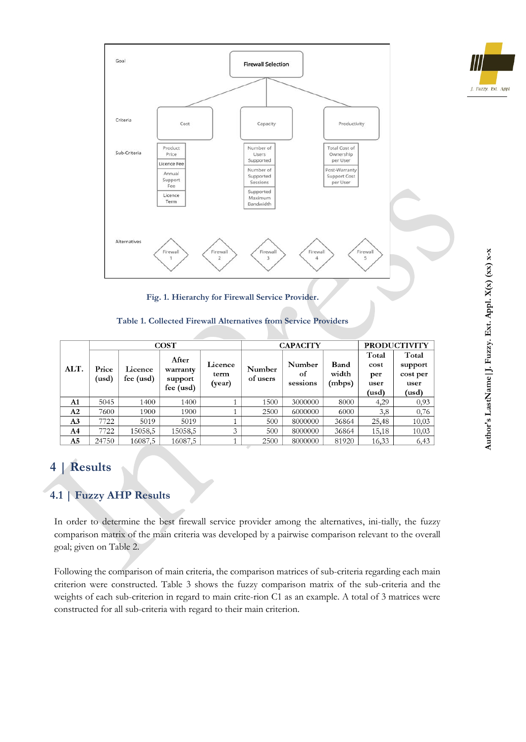



**Fig. 1. Hierarchy for Firewall Service Provider.**

#### **Table 1. Collected Firewall Alternatives from Service Providers**

|                | $\cos T$       |                      |                                           |                           | <b>CAPACITY</b>    |                          |                         | <b>PRODUCTIVITY</b>                   |                                               |
|----------------|----------------|----------------------|-------------------------------------------|---------------------------|--------------------|--------------------------|-------------------------|---------------------------------------|-----------------------------------------------|
| ALT.           | Price<br>(usd) | Licence<br>fee (usd) | After<br>warranty<br>support<br>fee (usd) | Licence<br>term<br>(year) | Number<br>of users | Number<br>of<br>sessions | Band<br>width<br>(mbps) | Total<br>cost<br>per<br>user<br>(usd) | Total<br>support<br>cost per<br>user<br>(usd) |
| A1             | 5045           | 1400                 | 1400                                      |                           | 1500               | 3000000                  | 8000                    | 4,29                                  | 0,93                                          |
| A2             | 7600           | 1900                 | 1900                                      |                           | 2500               | 6000000                  | 6000                    | 3,8                                   | 0,76                                          |
| A3             | 7722           | 5019                 | 5019                                      |                           | 500                | 8000000                  | 36864                   | 25,48                                 | 10,03                                         |
| A4             | 7722           | 15058,5              | 15058,5                                   | 3                         | 500                | 8000000                  | 36864                   | 15,18                                 | 10,03                                         |
| A <sub>5</sub> | 24750          | 16087,5              | 16087,5                                   |                           | 2500               | 8000000                  | 81920                   | 16,33                                 | 6,43                                          |

# **4 | Results**

## **4.1 | Fuzzy AHP Results**

In order to determine the best firewall service provider among the alternatives, ini-tially, the fuzzy comparison matrix of the main criteria was developed by a pairwise comparison relevant to the overall goal; given on Table 2.

Following the comparison of main criteria, the comparison matrices of sub-criteria regarding each main criterion were constructed. Table 3 shows the fuzzy comparison matrix of the sub-criteria and the weights of each sub-criterion in regard to main crite-rion C1 as an example. A total of 3 matrices were constructed for all sub-criteria with regard to their main criterion.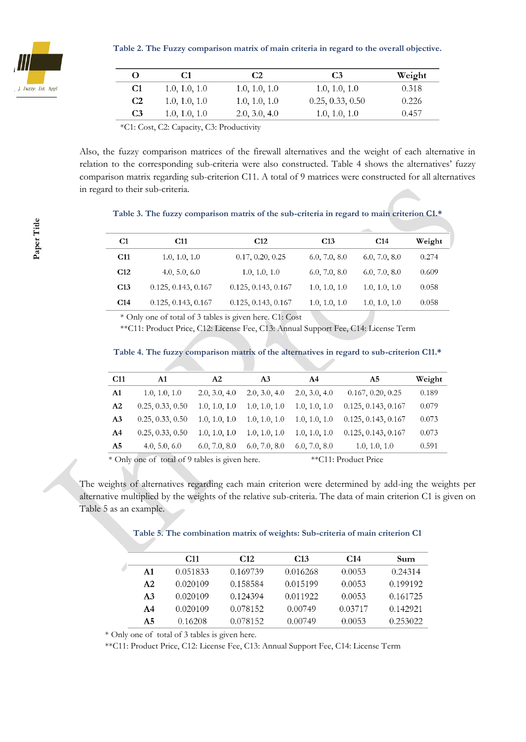

**Table 2. The Fuzzy comparison matrix of main criteria in regard to the overall objective.**

|                | C1            | C <sub>2</sub> | C <sub>3</sub>   | Weight |
|----------------|---------------|----------------|------------------|--------|
| C <sub>1</sub> | 1.0, 1.0, 1.0 | 1.0, 1.0, 1.0  | 1.0, 1.0, 1.0    | 0.318  |
| C <sub>2</sub> | 1.0, 1.0, 1.0 | 1.0, 1.0, 1.0  | 0.25, 0.33, 0.50 | 0.226  |
| C <sub>3</sub> | 1.0, 1.0, 1.0 | 2.0, 3.0, 4.0  | 1.0, 1.0, 1.0    | 0.457  |

\*C1: Cost, C2: Capacity, C3: Productivity

Also, the fuzzy comparison matrices of the firewall alternatives and the weight of each alternative in relation to the corresponding sub-criteria were also constructed. Table 4 shows the alternatives' fuzzy comparison matrix regarding sub-criterion C11. A total of 9 matrices were constructed for all alternatives in regard to their sub-criteria.

#### **Table 3. The fuzzy comparison matrix of the sub-criteria in regard to main criterion C1.\***

| C1              | C11                 | C <sub>12</sub>     | C <sub>13</sub> | C <sub>14</sub> | Weight |
|-----------------|---------------------|---------------------|-----------------|-----------------|--------|
| C <sub>11</sub> | 1.0, 1.0, 1.0       | 0.17, 0.20, 0.25    | 6.0, 7.0, 8.0   | 6.0, 7.0, 8.0   | 0.274  |
| C <sub>12</sub> | 4.0, 5.0, 6.0       | 1.0, 1.0, 1.0       | 6.0, 7.0, 8.0   | 6.0, 7.0, 8.0   | 0.609  |
| C <sub>13</sub> | 0.125, 0.143, 0.167 | 0.125, 0.143, 0.167 | 1.0, 1.0, 1.0   | 1.0, 1.0, 1.0   | 0.058  |
| C <sub>14</sub> | 0.125, 0.143, 0.167 | 0.125, 0.143, 0.167 | 1.0, 1.0, 1.0   | 1.0, 1.0, 1.0   | 0.058  |

\* Only one of total of 3 tables is given here. C1: Cost

\*\*C11: Product Price, C12: License Fee, C13: Annual Support Fee, C14: License Term

#### **Table 4. The fuzzy comparison matrix of the alternatives in regard to sub-criterion C11.\***

| C <sub>11</sub> | A1               | A <sub>2</sub> | A <sub>3</sub> | A4            | A5                  | Weight |
|-----------------|------------------|----------------|----------------|---------------|---------------------|--------|
| A1              | 1.0, 1.0, 1.0    | 2.0, 3.0, 4.0  | 2.0, 3.0, 4.0  | 2.0, 3.0, 4.0 | 0.167, 0.20, 0.25   | 0.189  |
| A <sub>2</sub>  | 0.25, 0.33, 0.50 | 1.0, 1.0, 1.0  | 1.0, 1.0, 1.0  | 1.0, 1.0, 1.0 | 0.125, 0.143, 0.167 | 0.079  |
| A <sub>3</sub>  | 0.25, 0.33, 0.50 | 1.0, 1.0, 1.0  | 1.0, 1.0, 1.0  | 1.0, 1.0, 1.0 | 0.125, 0.143, 0.167 | 0.073  |
| A <sup>4</sup>  | 0.25, 0.33, 0.50 | 1.0, 1.0, 1.0  | 1.0, 1.0, 1.0  | 1.0, 1.0, 1.0 | 0.125, 0.143, 0.167 | 0.073  |
| A <sub>5</sub>  | 4.0, 5.0, 6.0    | 6.0, 7.0, 8.0  | 6.0, 7.0, 8.0  | 6.0, 7.0, 8.0 | 1.0, 1.0, 1.0       | 0.591  |
|                 |                  |                |                |               |                     |        |

\* Only one of total of 9 tables is given here. \*\*C11: Product Price

The weights of alternatives regarding each main criterion were determined by add-ing the weights per alternative multiplied by the weights of the relative sub-criteria. The data of main criterion C1 is given on Table 5 as an example.

#### **Table 5. The combination matrix of weights: Sub-criteria of main criterion C1**

|                | C <sub>11</sub> | C <sub>12</sub> | C <sub>13</sub> | C <sub>14</sub> | Sum      |
|----------------|-----------------|-----------------|-----------------|-----------------|----------|
| A <sub>1</sub> | 0.051833        | 0.169739        | 0.016268        | 0.0053          | 0.24314  |
| A <sub>2</sub> | 0.020109        | 0.158584        | 0.015199        | 0.0053          | 0.199192 |
| A <sub>3</sub> | 0.020109        | 0.124394        | 0.011922        | 0.0053          | 0.161725 |
| AA             | 0.020109        | 0.078152        | 0.00749         | 0.03717         | 0.142921 |
| A <sub>5</sub> | 0.16208         | 0.078152        | 0.00749         | 0.0053          | 0.253022 |

\* Only one of total of 3 tables is given here.

\*\*C11: Product Price, C12: License Fee, C13: Annual Support Fee, C14: License Term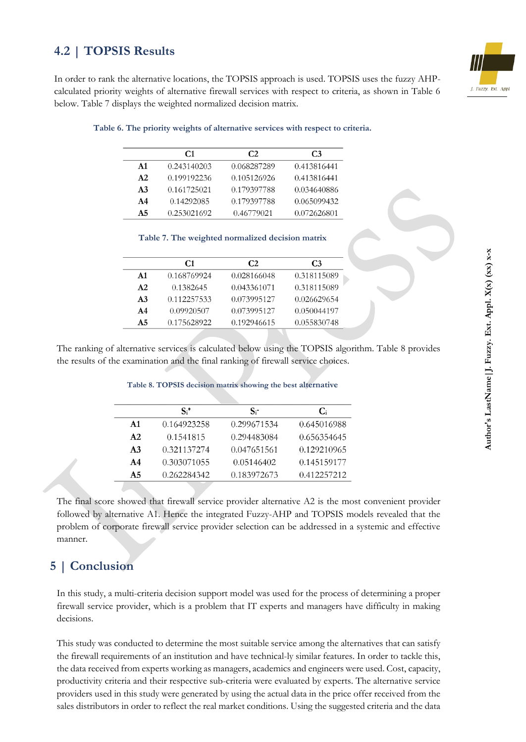# **4.2 | TOPSIS Results**



In order to rank the alternative locations, the TOPSIS approach is used. TOPSIS uses the fuzzy AHPcalculated priority weights of alternative firewall services with respect to criteria, as shown in Table 6 below. Table 7 displays the weighted normalized decision matrix.

|                | C <sub>1</sub> | C <sub>2</sub> | C <sub>3</sub> |
|----------------|----------------|----------------|----------------|
| $\mathbf{A}1$  | 0.243140203    | 0.068287289    | 0.413816441    |
| A2             | 0.199192236    | 0.105126926    | 0.413816441    |
| A <sub>3</sub> | 0.161725021    | 0.179397788    | 0.034640886    |
| A4             | 0.14292085     | 0.179397788    | 0.065099432    |
| A5             | 0.253021692    | 0.46779021     | 0.072626801    |

#### **Table 6. The priority weights of alternative services with respect to criteria.**

|  | Table 7. The weighted normalized decision matrix |  |
|--|--------------------------------------------------|--|
|  |                                                  |  |

|                | C <sub>1</sub> | C <sub>2</sub> | C <sub>3</sub> |
|----------------|----------------|----------------|----------------|
| $\mathbf{A}$ 1 | 0.168769924    | 0.028166048    | 0.318115089    |
| A2             | 0.1382645      | 0.043361071    | 0.318115089    |
| A <sub>3</sub> | 0.112257533    | 0.073995127    | 0.026629654    |
| A <sub>4</sub> | 0.09920507     | 0.073995127    | 0.050044197    |
| A <sub>5</sub> | 0.175628922    | 0.192946615    | 0.055830748    |
|                |                |                |                |

The ranking of alternative services is calculated below using the TOPSIS algorithm. Table 8 provides the results of the examination and the final ranking of firewall service choices.

|                | $S_i^*$     | $S_{i}$     | <b>C</b> <sub>i</sub> |
|----------------|-------------|-------------|-----------------------|
| $\mathbf{A}$ 1 | 0.164923258 | 0.299671534 | 0.645016988           |
| A2             | 0.1541815   | 0.294483084 | 0.656354645           |
| A <sub>3</sub> | 0.321137274 | 0.047651561 | 0.129210965           |
| AA             | 0.303071055 | 0.05146402  | 0.145159177           |
| A <sub>5</sub> | 0.262284342 | 0.183972673 | 0.412257212           |
|                |             |             |                       |

The final score showed that firewall service provider alternative A2 is the most convenient provider followed by alternative A1. Hence the integrated Fuzzy-AHP and TOPSIS models revealed that the problem of corporate firewall service provider selection can be addressed in a systemic and effective manner.

### **5 | Conclusion**

In this study, a multi-criteria decision support model was used for the process of determining a proper firewall service provider, which is a problem that IT experts and managers have difficulty in making decisions.

This study was conducted to determine the most suitable service among the alternatives that can satisfy the firewall requirements of an institution and have technical-ly similar features. In order to tackle this, the data received from experts working as managers, academics and engineers were used. Cost, capacity, productivity criteria and their respective sub-criteria were evaluated by experts. The alternative service providers used in this study were generated by using the actual data in the price offer received from the sales distributors in order to reflect the real market conditions. Using the suggested criteria and the data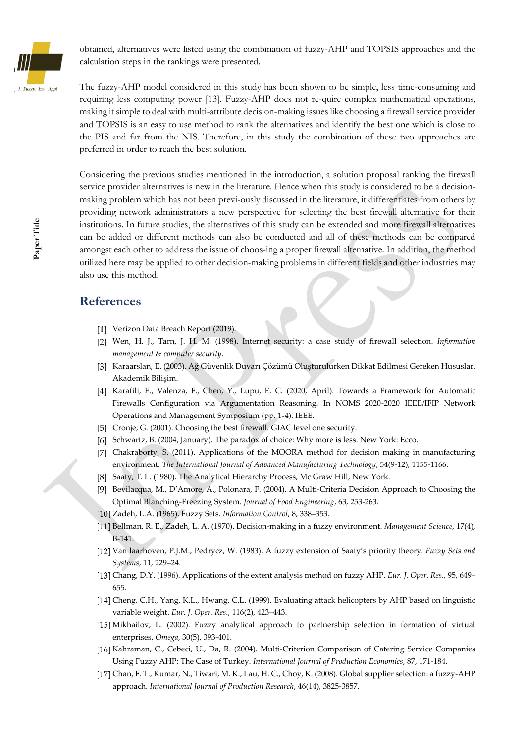

obtained, alternatives were listed using the combination of fuzzy-AHP and TOPSIS approaches and the calculation steps in the rankings were presented.

The fuzzy-AHP model considered in this study has been shown to be simple, less time-consuming and requiring less computing power [13]. Fuzzy-AHP does not re-quire complex mathematical operations, making it simple to deal with multi-attribute decision-making issues like choosing a firewall service provider and TOPSIS is an easy to use method to rank the alternatives and identify the best one which is close to the PIS and far from the NIS. Therefore, in this study the combination of these two approaches are preferred in order to reach the best solution.

Considering the previous studies mentioned in the introduction, a solution proposal ranking the firewall service provider alternatives is new in the literature. Hence when this study is considered to be a decisionmaking problem which has not been previ-ously discussed in the literature, it differentiates from others by providing network administrators a new perspective for selecting the best firewall alternative for their institutions. In future studies, the alternatives of this study can be extended and more firewall alternatives can be added or different methods can also be conducted and all of these methods can be compared amongst each other to address the issue of choos-ing a proper firewall alternative. In addition, the method utilized here may be applied to other decision-making problems in different fields and other industries may also use this method.

#### **References**

- [1] Verizon Data Breach Report (2019).
- Wen, H. J., Tarn, J. H. M. (1998). Internet security: a case study of firewall selection. *Information management & computer security*.
- Karaarslan, E. (2003). Ağ Güvenlik Duvarı Çözümü Oluşturulurken Dikkat Edilmesi Gereken Hususlar. Akademik Bilişim.
- [4] Karafili, E., Valenza, F., Chen, Y., Lupu, E. C. (2020, April). Towards a Framework for Automatic Firewalls Configuration via Argumentation Reasoning. In NOMS 2020-2020 IEEE/IFIP Network Operations and Management Symposium (pp. 1-4). IEEE.
- [5] Cronje, G. (2001). Choosing the best firewall. GIAC level one security.
- [6] Schwartz, B. (2004, January). The paradox of choice: Why more is less. New York: Ecco.
- [7] Chakraborty, S. (2011). Applications of the MOORA method for decision making in manufacturing environment. *The International Journal of Advanced Manufacturing Technology*, 54(9-12), 1155-1166.
- [8] Saaty, T. L. (1980). The Analytical Hierarchy Process, Mc Graw Hill, New York.
- [9] Bevilacqua, M., D'Amore, A., Polonara, F. (2004). A Multi-Criteria Decision Approach to Choosing the Optimal Blanching-Freezing System. *Journal of Food Engineering*, 63, 253-263.
- Zadeh, L.A. (1965). Fuzzy Sets. *Information Control*, 8, 338–353.
- Bellman, R. E., Zadeh, L. A. (1970). Decision-making in a fuzzy environment. *Management Science*, 17(4), B-141.
- Van laarhoven, P.J.M., Pedrycz, W. (1983). A fuzzy extension of Saaty's priority theory. *Fuzzy Sets and Systems*, 11, 229–24.
- Chang, D.Y. (1996). Applications of the extent analysis method on fuzzy AHP. *Eur. J. Oper. Res*., 95, 649– 655.
- [14] Cheng, C.H., Yang, K.L., Hwang, C.L. (1999). Evaluating attack helicopters by AHP based on linguistic variable weight. *Eur. J. Oper. Res*., 116(2), 423–443.
- [15] Mikhailov, L. (2002). Fuzzy analytical approach to partnership selection in formation of virtual enterprises. *Omega*, 30(5), 393-401.
- [16] Kahraman, C., Cebeci, U., Da, R. (2004). Multi-Criterion Comparison of Catering Service Companies Using Fuzzy AHP: The Case of Turkey. *International Journal of Production Economics*, 87, 171-184.
- [17] Chan, F. T., Kumar, N., Tiwari, M. K., Lau, H. C., Choy, K. (2008). Global supplier selection: a fuzzy-AHP approach. *International Journal of Production Research*, 46(14), 3825-3857.